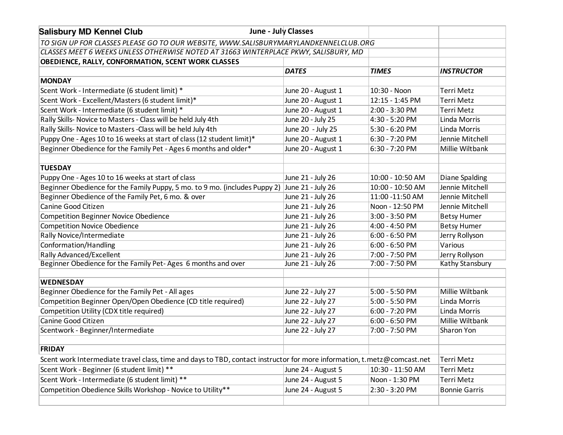| June - July Classes<br><b>Salisbury MD Kennel Club</b>                                                                  |                    |                  |                      |  |
|-------------------------------------------------------------------------------------------------------------------------|--------------------|------------------|----------------------|--|
| TO SIGN UP FOR CLASSES PLEASE GO TO OUR WEBSITE, WWW.SALISBURYMARYLANDKENNELCLUB.ORG                                    |                    |                  |                      |  |
| CLASSES MEET 6 WEEKS UNLESS OTHERWISE NOTED AT 31663 WINTERPLACE PKWY, SALISBURY, MD                                    |                    |                  |                      |  |
| OBEDIENCE, RALLY, CONFORMATION, SCENT WORK CLASSES                                                                      |                    |                  |                      |  |
|                                                                                                                         | <b>DATES</b>       | <b>TIMES</b>     | <b>INSTRUCTOR</b>    |  |
| <b>MONDAY</b>                                                                                                           |                    |                  |                      |  |
| Scent Work - Intermediate (6 student limit) *                                                                           | June 20 - August 1 | 10:30 - Noon     | <b>Terri Metz</b>    |  |
| Scent Work - Excellent/Masters (6 student limit)*                                                                       | June 20 - August 1 | 12:15 - 1:45 PM  | <b>Terri Metz</b>    |  |
| Scent Work - Intermediate (6 student limit) *                                                                           | June 20 - August 1 | 2:00 - 3:30 PM   | <b>Terri Metz</b>    |  |
| Rally Skills- Novice to Masters - Class will be held July 4th                                                           | June 20 - July 25  | 4:30 - 5:20 PM   | Linda Morris         |  |
| Rally Skills- Novice to Masters - Class will be held July 4th                                                           | June 20 - July 25  | 5:30 - 6:20 PM   | Linda Morris         |  |
| Puppy One - Ages 10 to 16 weeks at start of class (12 student limit)*                                                   | June 20 - August 1 | 6:30 - 7:20 PM   | Jennie Mitchell      |  |
| Beginner Obedience for the Family Pet - Ages 6 months and older*                                                        | June 20 - August 1 | 6:30 - 7:20 PM   | Millie Wiltbank      |  |
|                                                                                                                         |                    |                  |                      |  |
| <b>TUESDAY</b>                                                                                                          |                    |                  |                      |  |
| Puppy One - Ages 10 to 16 weeks at start of class                                                                       | June 21 - July 26  | 10:00 - 10:50 AM | Diane Spalding       |  |
| Beginner Obedience for the Family Puppy, 5 mo. to 9 mo. (includes Puppy 2)                                              | June 21 - July 26  | 10:00 - 10:50 AM | Jennie Mitchell      |  |
| Beginner Obedience of the Family Pet, 6 mo. & over                                                                      | June 21 - July 26  | 11:00 -11:50 AM  | Jennie Mitchell      |  |
| Canine Good Citizen                                                                                                     | June 21 - July 26  | Noon - 12:50 PM  | Jennie Mitchell      |  |
| <b>Competition Beginner Novice Obedience</b>                                                                            | June 21 - July 26  | $3:00 - 3:50$ PM | <b>Betsy Humer</b>   |  |
| <b>Competition Novice Obedience</b>                                                                                     | June 21 - July 26  | 4:00 - 4:50 PM   | <b>Betsy Humer</b>   |  |
| Rally Novice/Intermediate                                                                                               | June 21 - July 26  | $6:00 - 6:50$ PM | Jerry Rollyson       |  |
| Conformation/Handling                                                                                                   | June 21 - July 26  | $6:00 - 6:50$ PM | Various              |  |
| <b>Rally Advanced/Excellent</b>                                                                                         | June 21 - July 26  | 7:00 - 7:50 PM   | Jerry Rollyson       |  |
| Beginner Obedience for the Family Pet-Ages 6 months and over                                                            | June 21 - July 26  | 7:00 - 7:50 PM   | Kathy Stansbury      |  |
| <b>WEDNESDAY</b>                                                                                                        |                    |                  |                      |  |
| Beginner Obedience for the Family Pet - All ages                                                                        | June 22 - July 27  | 5:00 - 5:50 PM   | Millie Wiltbank      |  |
| Competition Beginner Open/Open Obedience (CD title required)                                                            | June 22 - July 27  | 5:00 - 5:50 PM   | Linda Morris         |  |
| Competition Utility (CDX title required)                                                                                | June 22 - July 27  | 6:00 - 7:20 PM   | Linda Morris         |  |
| Canine Good Citizen                                                                                                     | June 22 - July 27  | $6:00 - 6:50$ PM | Millie Wiltbank      |  |
| Scentwork - Beginner/Intermediate                                                                                       | June 22 - July 27  | 7:00 - 7:50 PM   | Sharon Yon           |  |
|                                                                                                                         |                    |                  |                      |  |
| <b>FRIDAY</b>                                                                                                           |                    |                  |                      |  |
| Scent work Intermediate travel class, time and days to TBD, contact instructor for more information, t.metz@comcast.net | <b>Terri Metz</b>  |                  |                      |  |
| Scent Work - Beginner (6 student limit) **                                                                              | June 24 - August 5 | 10:30 - 11:50 AM | <b>Terri Metz</b>    |  |
| Scent Work - Intermediate (6 student limit) **                                                                          | June 24 - August 5 | Noon - 1:30 PM   | <b>Terri Metz</b>    |  |
| Competition Obedience Skills Workshop - Novice to Utility**                                                             | June 24 - August 5 | 2:30 - 3:20 PM   | <b>Bonnie Garris</b> |  |
|                                                                                                                         |                    |                  |                      |  |